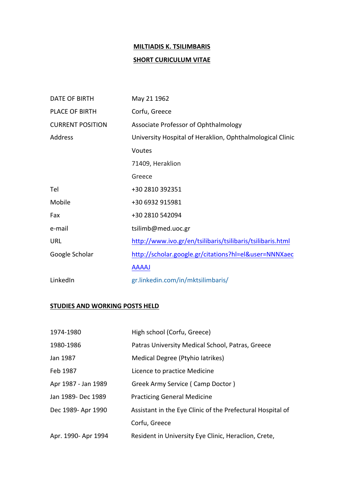# **MILTIADIS K. TSILIMBARIS SHORT CURICULUM VITAE**

| DATE OF BIRTH           | May 21 1962                                                |
|-------------------------|------------------------------------------------------------|
| PLACE OF BIRTH          | Corfu, Greece                                              |
| <b>CURRENT POSITION</b> | Associate Professor of Ophthalmology                       |
| Address                 | University Hospital of Heraklion, Ophthalmological Clinic  |
|                         | Voutes                                                     |
|                         | 71409, Heraklion                                           |
|                         | Greece                                                     |
| Tel                     | +30 2810 392351                                            |
| Mobile                  | +30 6932 915981                                            |
| Fax                     | +30 2810 542094                                            |
| e-mail                  | tsilimb@med.uoc.gr                                         |
| URL                     | http://www.ivo.gr/en/tsilibaris/tsilibaris/tsilibaris.html |
| Google Scholar          | http://scholar.google.gr/citations?hl=el&user=NNNXaec      |
|                         | <b>AAAAJ</b>                                               |
| LinkedIn                | gr.linkedin.com/in/mktsilimbaris/                          |

## **STUDIES AND WORKING POSTS HELD**

| 1974-1980           | High school (Corfu, Greece)                                |
|---------------------|------------------------------------------------------------|
| 1980-1986           | Patras University Medical School, Patras, Greece           |
| Jan 1987            | Medical Degree (Ptyhio latrikes)                           |
| Feb 1987            | Licence to practice Medicine                               |
| Apr 1987 - Jan 1989 | Greek Army Service (Camp Doctor)                           |
| Jan 1989- Dec 1989  | <b>Practicing General Medicine</b>                         |
| Dec 1989- Apr 1990  | Assistant in the Eye Clinic of the Prefectural Hospital of |
|                     | Corfu, Greece                                              |
| Apr. 1990- Apr 1994 | Resident in University Eye Clinic, Heraclion, Crete,       |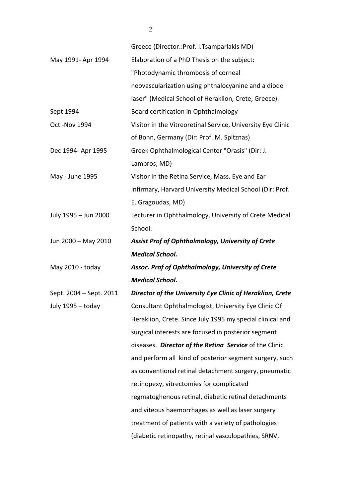|                         | Greece (Director.: Prof. I. Tsamparlakis MD)                |
|-------------------------|-------------------------------------------------------------|
| May 1991- Apr 1994      | Elaboration of a PhD Thesis on the subject:                 |
|                         | "Photodynamic thrombosis of corneal                         |
|                         | neovascularization using phthalocyanine and a diode         |
|                         | laser" (Medical School of Heraklion, Crete, Greece).        |
| Sept 1994               | Board certification in Ophthalmology                        |
| Oct -Nov 1994           | Visitor in the Vitreoretinal Service, University Eye Clinic |
|                         | of Bonn, Germany (Dir: Prof. M. Spitznas)                   |
| Dec 1994- Apr 1995      | Greek Ophthalmological Center "Orasis" (Dir: J.             |
|                         | Lambros, MD)                                                |
| May - June 1995         | Visitor in the Retina Service, Mass. Eye and Ear            |
|                         | Infirmary, Harvard University Medical School (Dir: Prof.    |
|                         | E. Gragoudas, MD)                                           |
| July 1995 - Jun 2000    | Lecturer in Ophthalmology, University of Crete Medical      |
|                         | School.                                                     |
|                         |                                                             |
| Jun 2000 - May 2010     | Assist Prof of Ophthalmology, University of Crete           |
|                         | <b>Medical School.</b>                                      |
| May 2010 - today        | Assoc. Prof of Ophthalmology, University of Crete           |
|                         | <b>Medical School.</b>                                      |
| Sept. 2004 - Sept. 2011 | Director of the University Eye Clinic of Heraklion, Crete   |
| July 1995 - today       | Consultant Ophthalmologist, University Eye Clinic Of        |
|                         | Heraklion, Crete. Since July 1995 my special clinical and   |
|                         | surgical interests are focused in posterior segment         |
|                         | diseases. Director of the Retina Service of the Clinic      |
|                         | and perform all kind of posterior segment surgery, such     |
|                         | as conventional retinal detachment surgery, pneumatic       |
|                         | retinopexy, vitrectomies for complicated                    |
|                         | regmatoghenous retinal, diabetic retinal detachments        |
|                         | and viteous haemorrhages as well as laser surgery           |

(diabetic retinopathy, retinal vasculopathies, SRNV,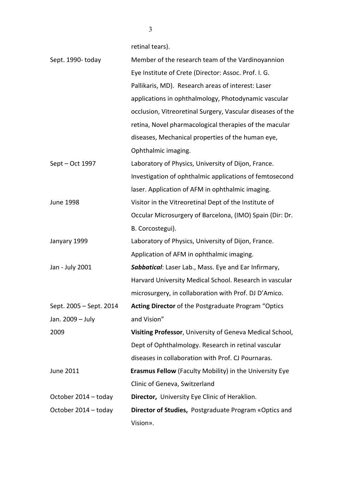retinal tears).

| Sept. 1990-today        | Member of the research team of the Vardinoyannion              |
|-------------------------|----------------------------------------------------------------|
|                         | Eye Institute of Crete (Director: Assoc. Prof. I. G.           |
|                         | Pallikaris, MD). Research areas of interest: Laser             |
|                         | applications in ophthalmology, Photodynamic vascular           |
|                         | occlusion, Vitreoretinal Surgery, Vascular diseases of the     |
|                         | retina, Novel pharmacological therapies of the macular         |
|                         | diseases, Mechanical properties of the human eye,              |
|                         | Ophthalmic imaging.                                            |
| Sept – Oct 1997         | Laboratory of Physics, University of Dijon, France.            |
|                         | Investigation of ophthalmic applications of femtosecond        |
|                         | laser. Application of AFM in ophthalmic imaging.               |
| <b>June 1998</b>        | Visitor in the Vitreoretinal Dept of the Institute of          |
|                         | Occular Microsurgery of Barcelona, (IMO) Spain (Dir: Dr.       |
|                         | B. Corcostegui).                                               |
| Janyary 1999            | Laboratory of Physics, University of Dijon, France.            |
|                         | Application of AFM in ophthalmic imaging.                      |
| Jan - July 2001         | Sabbatical: Laser Lab., Mass. Eye and Ear Infirmary,           |
|                         | Harvard University Medical School. Research in vascular        |
|                         | microsurgery, in collaboration with Prof. DJ D'Amico.          |
| Sept. 2005 - Sept. 2014 | Acting Director of the Postgraduate Program "Optics            |
| Jan. 2009 - July        | and Vision"                                                    |
| 2009                    | Visiting Professor, University of Geneva Medical School,       |
|                         | Dept of Ophthalmology. Research in retinal vascular            |
|                         | diseases in collaboration with Prof. CJ Pournaras.             |
| June 2011               | <b>Erasmus Fellow</b> (Faculty Mobility) in the University Eye |
|                         | Clinic of Geneva, Switzerland                                  |
| October 2014 - today    | Director, University Eye Clinic of Heraklion.                  |
| October 2014 - today    | Director of Studies, Postgraduate Program «Optics and          |
|                         | Vision».                                                       |

3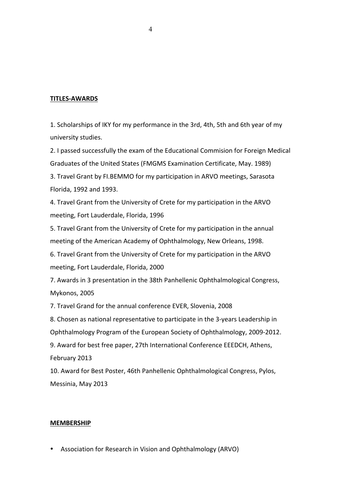#### **TITLES-AWARDS**

1. Scholarships of IKY for my performance in the 3rd, 4th, 5th and 6th year of my university studies.

2. I passed successfully the exam of the Educational Commision for Foreign Medical Graduates of the United States (FMGMS Examination Certificate, May. 1989)

3. Travel Grant by FI.BEMMO for my participation in ARVO meetings, Sarasota Florida, 1992 and 1993.

4. Travel Grant from the University of Crete for my participation in the ARVO meeting, Fort Lauderdale, Florida, 1996

5. Travel Grant from the University of Crete for my participation in the annual meeting of the American Academy of Ophthalmology, New Orleans, 1998.

6. Travel Grant from the University of Crete for my participation in the ARVO meeting, Fort Lauderdale, Florida, 2000

7. Awards in 3 presentation in the 38th Panhellenic Ophthalmological Congress, Mykonos, 2005

7. Travel Grand for the annual conference EVER, Slovenia, 2008

8. Chosen as national representative to participate in the 3-years Leadership in Ophthalmology Program of the European Society of Ophthalmology, 2009-2012.

9. Award for best free paper, 27th International Conference EEEDCH, Athens, February 2013

10. Award for Best Poster, 46th Panhellenic Ophthalmological Congress, Pylos, Messinia, May 2013

#### **MEMBERSHIP**

Association for Research in Vision and Ophthalmology (ARVO)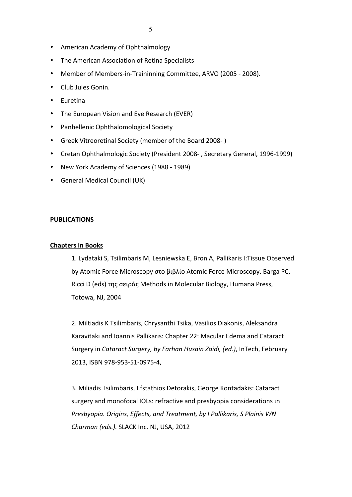- American Academy of Ophthalmology
- The American Association of Retina Specialists
- Member of Members-in-Traininning Committee, ARVO (2005 2008).
- Club Jules Gonin.
- Euretina
- The European Vision and Eye Research (EVER)
- Panhellenic Ophthalomological Society
- Greek Vitreoretinal Society (member of the Board 2008-)
- Cretan Ophthalmologic Society (President 2008-, Secretary General, 1996-1999)
- New York Academy of Sciences (1988 1989)
- General Medical Council (UK)

#### **PUBLICATIONS**

#### **Chapters in Books**

1. Lydataki S, Tsilimbaris M, Lesniewska E, Bron A, Pallikaris I:Tissue Observed by Atomic Force Microscopy στο βιβλίο Atomic Force Microscopy. Barga PC, Ricci D (eds) της σειράς Methods in Molecular Biology, Humana Press, Totowa, NJ, 2004

2. Miltiadis K Tsilimbaris, Chrysanthi Tsika, Vasilios Diakonis, Aleksandra Karavitaki and Ioannis Pallikaris: Chapter 22: Macular Edema and Cataract Surgery in *Cataract Surgery, by Farhan Husain Zaidi, (ed.)*, InTech, February 2013, ISBN 978-953-51-0975-4,

3. Miliadis Tsilimbaris, Efstathios Detorakis, George Kontadakis: Cataract surgery and monofocal IOLs: refractive and presbyopia considerations in *Presbyopia. Origins, Effects, and Treatment, by I Pallikaris, S Plainis WN Charman (eds.).* SLACK Inc. NJ, USA, 2012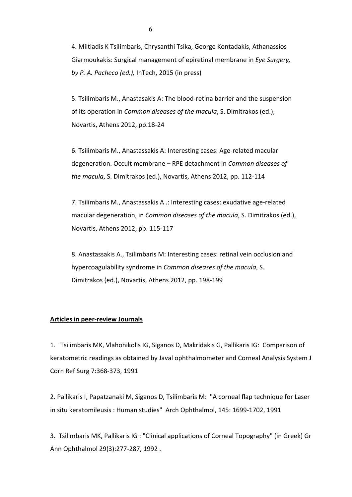4. Miltiadis K Tsilimbaris, Chrysanthi Tsika, George Kontadakis, Athanassios Giarmoukakis: Surgical management of epiretinal membrane in *Eye Surgery*, *by P. A. Pacheco (ed.),* InTech, 2015 (in press)

5. Tsilimbaris M., Anastasakis A: The blood-retina barrier and the suspension of its operation in *Common diseases of the macula*, S. Dimitrakos (ed.), Novartis, Athens 2012, pp.18-24

6. Tsilimbaris M., Anastassakis A: Interesting cases: Age-related macular degeneration. Occult membrane - RPE detachment in *Common diseases of the macula*, S. Dimitrakos (ed.), Novartis, Athens 2012, pp. 112-114

7. Tsilimbaris M., Anastassakis A .: Interesting cases: exudative age-related macular degeneration, in *Common diseases of the macula*, S. Dimitrakos (ed.), Novartis, Athens 2012, pp. 115-117

8. Anastassakis A., Tsilimbaris M: Interesting cases: retinal vein occlusion and hypercoagulability syndrome in *Common diseases of the macula*, S. Dimitrakos (ed.), Novartis, Athens 2012, pp. 198-199

#### **Articles in peer-review Journals**

1. Tsilimbaris MK, Vlahonikolis IG, Siganos D, Makridakis G, Pallikaris IG: Comparison of keratometric readings as obtained by Javal ophthalmometer and Corneal Analysis System J Corn Ref Surg 7:368-373, 1991

2. Pallikaris I, Papatzanaki M, Siganos D, Tsilimbaris M: "A corneal flap technique for Laser in situ keratomileusis : Human studies" Arch Ophthalmol, 145: 1699-1702, 1991

3. Tsilimbaris MK, Pallikaris IG : "Clinical applications of Corneal Topography" (in Greek) Gr Ann Ophthalmol 29(3):277-287, 1992.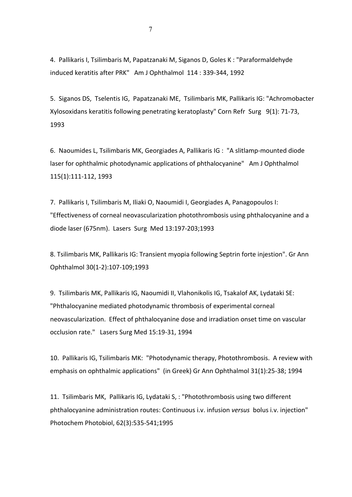4. Pallikaris I, Tsilimbaris M, Papatzanaki M, Siganos D, Goles K : "Paraformaldehyde induced keratitis after PRK" Am J Ophthalmol 114: 339-344, 1992

5. Siganos DS, Tselentis IG, Papatzanaki ME, Tsilimbaris MK, Pallikaris IG: "Achromobacter Xylosoxidans keratitis following penetrating keratoplasty" Corn Refr Surg 9(1): 71-73, 1993

6. Naoumides L, Tsilimbaris MK, Georgiades A, Pallikaris IG : "A slitlamp-mounted diode laser for ophthalmic photodynamic applications of phthalocyanine" Am J Ophthalmol 115(1):111-112, 1993

7. Pallikaris I, Tsilimbaris M, Iliaki O, Naoumidi I, Georgiades A, Panagopoulos I: "Effectiveness of corneal neovascularization photothrombosis using phthalocyanine and a diode laser (675nm). Lasers Surg Med 13:197-203;1993

8. Tsilimbaris MK, Pallikaris IG: Transient myopia following Septrin forte injestion". Gr Ann Ophthalmol 30(1-2):107-109;1993

9. Tsilimbaris MK, Pallikaris IG, Naoumidi II, Vlahonikolis IG, Tsakalof AK, Lydataki SE: "Phthalocyanine mediated photodynamic thrombosis of experimental corneal neovascularization. Effect of phthalocyanine dose and irradiation onset time on vascular occlusion rate." Lasers Surg Med 15:19-31, 1994

10. Pallikaris IG, Tsilimbaris MK: "Photodynamic therapy, Photothrombosis. A review with emphasis on ophthalmic applications" (in Greek) Gr Ann Ophthalmol 31(1):25-38; 1994

11. Tsilimbaris MK, Pallikaris IG, Lydataki S,: "Photothrombosis using two different phthalocyanine administration routes: Continuous i.v. infusion *versus* bolus i.v. injection" Photochem Photobiol, 62(3):535-541;1995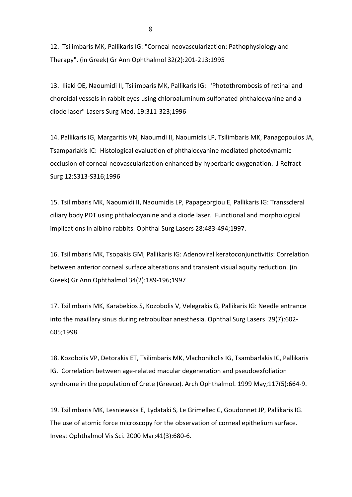12. Tsilimbaris MK, Pallikaris IG: "Corneal neovascularization: Pathophysiology and Therapy". (in Greek) Gr Ann Ophthalmol 32(2):201-213;1995

13. Iliaki OE, Naoumidi II, Tsilimbaris MK, Pallikaris IG: "Photothrombosis of retinal and choroidal vessels in rabbit eyes using chloroaluminum sulfonated phthalocyanine and a diode laser" Lasers Surg Med, 19:311-323;1996

14. Pallikaris IG, Margaritis VN, Naoumdi II, Naoumidis LP, Tsilimbaris MK, Panagopoulos JA, Tsamparlakis IC: Histological evaluation of phthalocyanine mediated photodynamic occlusion of corneal neovascularization enhanced by hyperbaric oxygenation. J Refract Surg 12:S313-S316;1996

15. Tsilimbaris MK, Naoumidi II, Naoumidis LP, Papageorgiou E, Pallikaris IG: Transscleral ciliary body PDT using phthalocyanine and a diode laser. Functional and morphological implications in albino rabbits. Ophthal Surg Lasers 28:483-494;1997.

16. Tsilimbaris MK, Tsopakis GM, Pallikaris IG: Adenoviral keratoconjunctivitis: Correlation between anterior corneal surface alterations and transient visual aquity reduction. (in Greek) Gr Ann Ophthalmol 34(2):189-196;1997

17. Tsilimbaris MK, Karabekios S, Kozobolis V, Velegrakis G, Pallikaris IG: Needle entrance into the maxillary sinus during retrobulbar anesthesia. Ophthal Surg Lasers 29(7):602-605;1998. 

18. Kozobolis VP, Detorakis ET, Tsilimbaris MK, Vlachonikolis IG, Tsambarlakis IC, Pallikaris IG. Correlation between age-related macular degeneration and pseudoexfoliation syndrome in the population of Crete (Greece). Arch Ophthalmol. 1999 May;117(5):664-9.

19. Tsilimbaris MK, Lesniewska E, Lydataki S, Le Grimellec C, Goudonnet JP, Pallikaris IG. The use of atomic force microscopy for the observation of corneal epithelium surface. Invest Ophthalmol Vis Sci. 2000 Mar;41(3):680-6.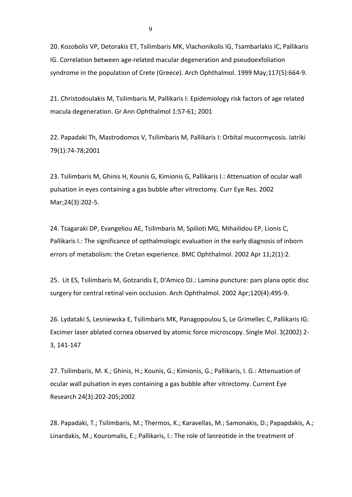20. Kozobolis VP, Detorakis ET, Tsilimbaris MK, Vlachonikolis IG, Tsambarlakis IC, Pallikaris IG. Correlation between age-related macular degeneration and pseudoexfoliation syndrome in the population of Crete (Greece). Arch Ophthalmol. 1999 May;117(5):664-9.

21. Christodoulakis M, Tsilimbaris M, Pallikaris I: Epidemiology risk factors of age related macula degeneration. Gr Ann Ophthalmol 1:57-61; 2001

22. Papadaki Th, Mastrodomos V, Tsilimbaris M, Pallikaris I: Orbital mucormycosis. Iatriki 79(1):74-78;2001

23. Tsilimbaris M, Ghinis H, Kounis G, Kimionis G, Pallikaris I.: Attenuation of ocular wall pulsation in eyes containing a gas bubble after vitrectomy. Curr Eye Res. 2002 Mar;24(3):202-5.

24. Tsagaraki DP, Evangeliou AE, Tsilimbaris M, Spilioti MG, Mihailidou EP, Lionis C, Pallikaris I.: The significance of opthalmologic evaluation in the early diagnosis of inborn errors of metabolism: the Cretan experience. BMC Ophthalmol. 2002 Apr 11;2(1):2.

25. Lit ES, Tsilimbaris M, Gotzaridis E, D'Amico DJ.: Lamina puncture: pars plana optic disc surgery for central retinal vein occlusion. Arch Ophthalmol. 2002 Apr;120(4):495-9.

26. Lydataki S, Lesniewska E, Tsilimbaris MK, Panagopoulou S, Le Grimellec C, Pallikaris IG: Excimer laser ablated cornea observed by atomic force microscopy. Single Mol. 3(2002) 2-3, 141-147

27. Tsilimbaris, M. K.; Ghinis, H.; Kounis, G.; Kimionis, G.; Pallikaris, I. G.: Attenuation of ocular wall pulsation in eyes containing a gas bubble after vitrectomy. Current Eye Research 24(3):202-205;2002

28. Papadaki, T.; Tsilimbaris, M.; Thermos, K.; Karavellas, M.; Samonakis, D.; Papapdakis, A.; Linardakis, M.; Kouromalis, E.; Pallikaris, I.: The role of lanreotide in the treatment of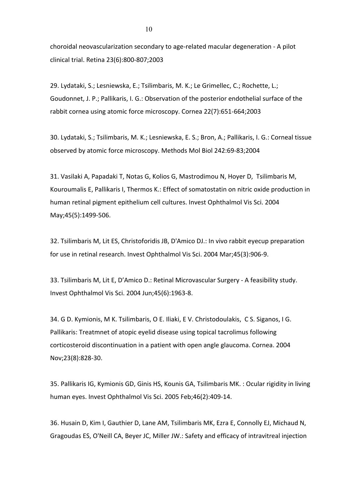choroidal neovascularization secondary to age-related macular degeneration - A pilot clinical trial. Retina 23(6):800-807;2003

29. Lydataki, S.; Lesniewska, E.; Tsilimbaris, M. K.; Le Grimellec, C.; Rochette, L.; Goudonnet, J. P.; Pallikaris, I. G.: Observation of the posterior endothelial surface of the rabbit cornea using atomic force microscopy. Cornea 22(7):651-664;2003

30. Lydataki, S.; Tsilimbaris, M. K.; Lesniewska, E. S.; Bron, A.; Pallikaris, I. G.: Corneal tissue observed by atomic force microscopy. Methods Mol Biol 242:69-83;2004

31. Vasilaki A, Papadaki T, Notas G, Kolios G, Mastrodimou N, Hoyer D, Tsilimbaris M, Kouroumalis E, Pallikaris I, Thermos K.: Effect of somatostatin on nitric oxide production in human retinal pigment epithelium cell cultures. Invest Ophthalmol Vis Sci. 2004 May;45(5):1499-506. 

32. Tsilimbaris M, Lit ES, Christoforidis JB, D'Amico DJ.: In vivo rabbit eyecup preparation for use in retinal research. Invest Ophthalmol Vis Sci. 2004 Mar;45(3):906-9.

33. Tsilimbaris M, Lit E, D'Amico D.: Retinal Microvascular Surgery - A feasibility study. Invest Ophthalmol Vis Sci. 2004 Jun;45(6):1963-8.

34. G D. Kymionis, M K. Tsilimbaris, O E. Iliaki, E V. Christodoulakis, C S. Siganos, I G. Pallikaris: Treatmnet of atopic eyelid disease using topical tacrolimus following corticosteroid discontinuation in a patient with open angle glaucoma. Cornea. 2004 Nov;23(8):828-30. 

35. Pallikaris IG, Kymionis GD, Ginis HS, Kounis GA, Tsilimbaris MK. : Ocular rigidity in living human eyes. Invest Ophthalmol Vis Sci. 2005 Feb;46(2):409-14.

36. Husain D, Kim I, Gauthier D, Lane AM, Tsilimbaris MK, Ezra E, Connolly EJ, Michaud N, Gragoudas ES, O'Neill CA, Beyer JC, Miller JW.: Safety and efficacy of intravitreal injection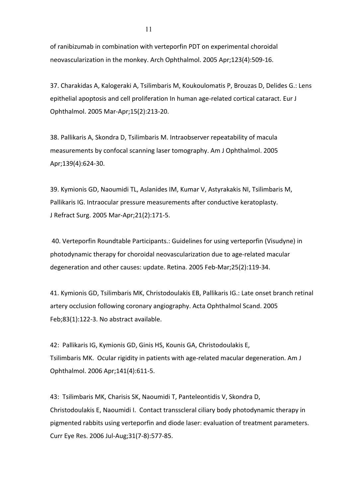of ranibizumab in combination with verteporfin PDT on experimental choroidal neovascularization in the monkey. Arch Ophthalmol. 2005 Apr;123(4):509-16.

37. Charakidas A, Kalogeraki A, Tsilimbaris M, Koukoulomatis P, Brouzas D, Delides G.: Lens epithelial apoptosis and cell proliferation In human age-related cortical cataract. Eur J Ophthalmol. 2005 Mar-Apr;15(2):213-20.

38. Pallikaris A, Skondra D, Tsilimbaris M. Intraobserver repeatability of macula measurements by confocal scanning laser tomography. Am J Ophthalmol. 2005 Apr;139(4):624-30.

39. Kymionis GD, Naoumidi TL, Aslanides IM, Kumar V, Astyrakakis NI, Tsilimbaris M, Pallikaris IG. Intraocular pressure measurements after conductive keratoplasty. J Refract Surg. 2005 Mar-Apr;21(2):171-5.

40. Verteporfin Roundtable Participants.: Guidelines for using verteporfin (Visudyne) in photodynamic therapy for choroidal neovascularization due to age-related macular degeneration and other causes: update. Retina. 2005 Feb-Mar;25(2):119-34.

41. Kymionis GD, Tsilimbaris MK, Christodoulakis EB, Pallikaris IG.: Late onset branch retinal artery occlusion following coronary angiography. Acta Ophthalmol Scand. 2005 Feb;83(1):122-3. No abstract available.

42: Pallikaris IG, Kymionis GD, Ginis HS, Kounis GA, Christodoulakis E, Tsilimbaris MK. Ocular rigidity in patients with age-related macular degeneration. Am J Ophthalmol. 2006 Apr;141(4):611-5. 

43: Tsilimbaris MK, Charisis SK, Naoumidi T, Panteleontidis V, Skondra D, Christodoulakis E, Naoumidi I. Contact transscleral ciliary body photodynamic therapy in pigmented rabbits using verteporfin and diode laser: evaluation of treatment parameters. Curr Eye Res. 2006 Jul-Aug; 31(7-8): 577-85.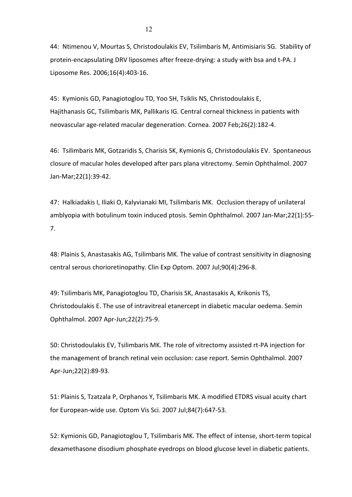44: Ntimenou V, Mourtas S, Christodoulakis EV, Tsilimbaris M, Antimisiaris SG. Stability of protein-encapsulating DRV liposomes after freeze-drying: a study with bsa and t-PA. J Liposome Res. 2006;16(4):403-16. 

45: Kymionis GD, Panagiotoglou TD, Yoo SH, Tsiklis NS, Christodoulakis E, Hajithanasis GC, Tsilimbaris MK, Pallikaris IG. Central corneal thickness in patients with neovascular age-related macular degeneration. Cornea. 2007 Feb;26(2):182-4.

46: Tsilimbaris MK, Gotzaridis S, Charisis SK, Kymionis G, Christodoulakis EV. Spontaneous closure of macular holes developed after pars plana vitrectomy. Semin Ophthalmol. 2007 Jan-Mar;22(1):39-42. 

47: Halkiadakis I, Iliaki O, Kalyvianaki MI, Tsilimbaris MK. Occlusion therapy of unilateral amblyopia with botulinum toxin induced ptosis. Semin Ophthalmol. 2007 Jan-Mar;22(1):55-7. 

48: Plainis S, Anastasakis AG, Tsilimbaris MK. The value of contrast sensitivity in diagnosing central serous chorioretinopathy. Clin Exp Optom. 2007 Jul;90(4):296-8.

49: Tsilimbaris MK, Panagiotoglou TD, Charisis SK, Anastasakis A, Krikonis TS, Christodoulakis E. The use of intravitreal etanercept in diabetic macular oedema. Semin Ophthalmol. 2007 Apr-Jun;22(2):75-9.

50: Christodoulakis EV, Tsilimbaris MK. The role of vitrectomy assisted rt-PA injection for the management of branch retinal vein occlusion: case report. Semin Ophthalmol. 2007 Apr-Jun;22(2):89-93.

51: Plainis S, Tzatzala P, Orphanos Y, Tsilimbaris MK. A modified ETDRS visual acuity chart for European-wide use. Optom Vis Sci. 2007 Jul;84(7):647-53.

52: Kymionis GD, Panagiotoglou T, Tsilimbaris MK. The effect of intense, short-term topical dexamethasone disodium phosphate eyedrops on blood glucose level in diabetic patients.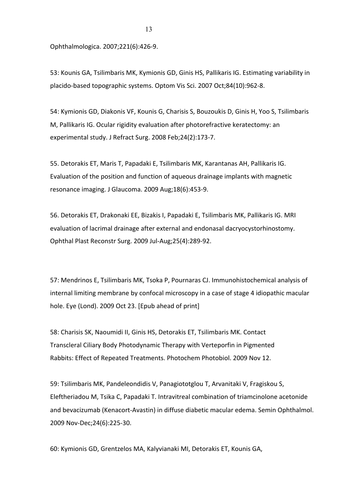Ophthalmologica. 2007;221(6):426-9.

53: Kounis GA, Tsilimbaris MK, Kymionis GD, Ginis HS, Pallikaris IG. Estimating variability in placido-based topographic systems. Optom Vis Sci. 2007 Oct;84(10):962-8.

54: Kymionis GD, Diakonis VF, Kounis G, Charisis S, Bouzoukis D, Ginis H, Yoo S, Tsilimbaris M, Pallikaris IG. Ocular rigidity evaluation after photorefractive keratectomy: an experimental study. J Refract Surg. 2008 Feb;24(2):173-7.

55. Detorakis ET, Maris T, Papadaki E, Tsilimbaris MK, Karantanas AH, Pallikaris IG. Evaluation of the position and function of aqueous drainage implants with magnetic resonance imaging. J Glaucoma. 2009 Aug;18(6):453-9.

56. Detorakis ET, Drakonaki EE, Bizakis I, Papadaki E, Tsilimbaris MK, Pallikaris IG. MRI evaluation of lacrimal drainage after external and endonasal dacryocystorhinostomy. Ophthal Plast Reconstr Surg. 2009 Jul-Aug;25(4):289-92.

57: Mendrinos E, Tsilimbaris MK, Tsoka P, Pournaras CJ. Immunohistochemical analysis of internal limiting membrane by confocal microscopy in a case of stage 4 idiopathic macular hole. Eye (Lond). 2009 Oct 23. [Epub ahead of print]

58: Charisis SK, Naoumidi II, Ginis HS, Detorakis ET, Tsilimbaris MK. Contact Transcleral Ciliary Body Photodynamic Therapy with Verteporfin in Pigmented Rabbits: Effect of Repeated Treatments. Photochem Photobiol. 2009 Nov 12.

59: Tsilimbaris MK, Pandeleondidis V, Panagiototglou T, Arvanitaki V, Fragiskou S, Eleftheriadou M, Tsika C, Papadaki T. Intravitreal combination of triamcinolone acetonide and bevacizumab (Kenacort-Avastin) in diffuse diabetic macular edema. Semin Ophthalmol. 2009 Nov-Dec;24(6):225-30. 

60: Kymionis GD, Grentzelos MA, Kalyvianaki MI, Detorakis ET, Kounis GA,

13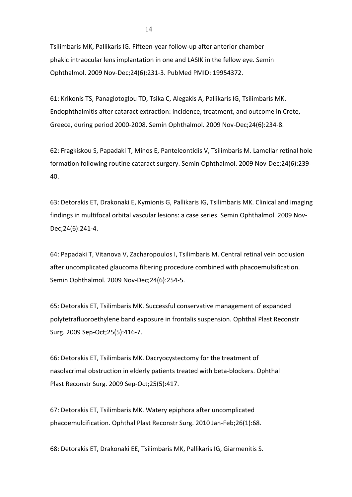Tsilimbaris MK, Pallikaris IG. Fifteen-year follow-up after anterior chamber phakic intraocular lens implantation in one and LASIK in the fellow eye. Semin Ophthalmol. 2009 Nov-Dec;24(6):231-3. PubMed PMID: 19954372.

61: Krikonis TS, Panagiotoglou TD, Tsika C, Alegakis A, Pallikaris IG, Tsilimbaris MK. Endophthalmitis after cataract extraction: incidence, treatment, and outcome in Crete, Greece, during period 2000-2008. Semin Ophthalmol. 2009 Nov-Dec;24(6):234-8.

62: Fragkiskou S, Papadaki T, Minos E, Panteleontidis V, Tsilimbaris M. Lamellar retinal hole formation following routine cataract surgery. Semin Ophthalmol. 2009 Nov-Dec;24(6):239-40. 

63: Detorakis ET, Drakonaki E, Kymionis G, Pallikaris IG, Tsilimbaris MK. Clinical and imaging findings in multifocal orbital vascular lesions: a case series. Semin Ophthalmol. 2009 Nov-Dec;24(6):241-4. 

64: Papadaki T, Vitanova V, Zacharopoulos I, Tsilimbaris M. Central retinal vein occlusion after uncomplicated glaucoma filtering procedure combined with phacoemulsification. Semin Ophthalmol. 2009 Nov-Dec;24(6):254-5.

65: Detorakis ET, Tsilimbaris MK. Successful conservative management of expanded polytetrafluoroethylene band exposure in frontalis suspension. Ophthal Plast Reconstr Surg. 2009 Sep-Oct; 25(5): 416-7.

66: Detorakis ET, Tsilimbaris MK. Dacryocystectomy for the treatment of nasolacrimal obstruction in elderly patients treated with beta-blockers. Ophthal Plast Reconstr Surg. 2009 Sep-Oct;25(5):417.

67: Detorakis ET, Tsilimbaris MK. Watery epiphora after uncomplicated phacoemulcification. Ophthal Plast Reconstr Surg. 2010 Jan-Feb;26(1):68.

68: Detorakis ET, Drakonaki EE, Tsilimbaris MK, Pallikaris IG, Giarmenitis S.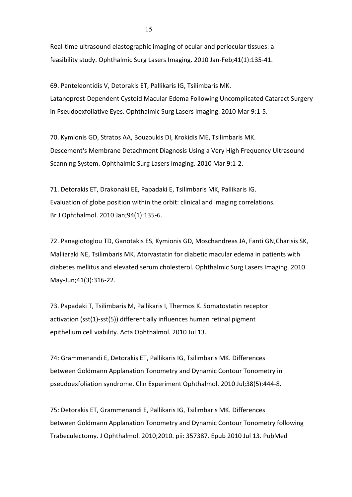Real-time ultrasound elastographic imaging of ocular and periocular tissues: a feasibility study. Ophthalmic Surg Lasers Imaging. 2010 Jan-Feb;41(1):135-41.

69. Panteleontidis V, Detorakis ET, Pallikaris IG, Tsilimbaris MK. Latanoprost-Dependent Cystoid Macular Edema Following Uncomplicated Cataract Surgery in Pseudoexfoliative Eyes. Ophthalmic Surg Lasers Imaging. 2010 Mar 9:1-5.

70. Kymionis GD, Stratos AA, Bouzoukis DI, Krokidis ME, Tsilimbaris MK. Descement's Membrane Detachment Diagnosis Using a Very High Frequency Ultrasound Scanning System. Ophthalmic Surg Lasers Imaging. 2010 Mar 9:1-2.

71. Detorakis ET, Drakonaki EE, Papadaki E, Tsilimbaris MK, Pallikaris IG. Evaluation of globe position within the orbit: clinical and imaging correlations. Br J Ophthalmol. 2010 Jan;94(1):135-6.

72. Panagiotoglou TD, Ganotakis ES, Kymionis GD, Moschandreas JA, Fanti GN, Charisis SK, Malliaraki NE, Tsilimbaris MK. Atorvastatin for diabetic macular edema in patients with diabetes mellitus and elevated serum cholesterol. Ophthalmic Surg Lasers Imaging. 2010 May-Jun;41(3):316-22. 

73. Papadaki T, Tsilimbaris M, Pallikaris I, Thermos K. Somatostatin receptor activation (sst(1)-sst(5)) differentially influences human retinal pigment epithelium cell viability. Acta Ophthalmol. 2010 Jul 13.

74: Grammenandi E, Detorakis ET, Pallikaris IG, Tsilimbaris MK. Differences between Goldmann Applanation Tonometry and Dynamic Contour Tonometry in pseudoexfoliation syndrome. Clin Experiment Ophthalmol. 2010 Jul;38(5):444-8.

75: Detorakis ET, Grammenandi E, Pallikaris IG, Tsilimbaris MK. Differences between Goldmann Applanation Tonometry and Dynamic Contour Tonometry following Trabeculectomy. J Ophthalmol. 2010;2010. pii: 357387. Epub 2010 Jul 13. PubMed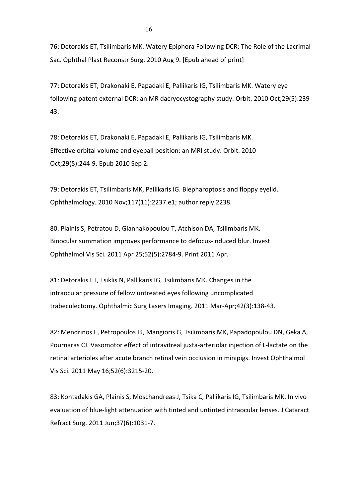76: Detorakis ET, Tsilimbaris MK. Watery Epiphora Following DCR: The Role of the Lacrimal Sac. Ophthal Plast Reconstr Surg. 2010 Aug 9. [Epub ahead of print]

77: Detorakis ET, Drakonaki E, Papadaki E, Pallikaris IG, Tsilimbaris MK. Watery eye following patent external DCR: an MR dacryocystography study. Orbit. 2010 Oct;29(5):239-43. 

78: Detorakis ET, Drakonaki E, Papadaki E, Pallikaris IG, Tsilimbaris MK. Effective orbital volume and eyeball position: an MRI study. Orbit. 2010 Oct;29(5):244-9. Epub 2010 Sep 2.

79: Detorakis ET, Tsilimbaris MK, Pallikaris IG. Blepharoptosis and floppy eyelid. Ophthalmology. 2010 Nov;117(11):2237.e1; author reply 2238.

80. Plainis S, Petratou D, Giannakopoulou T, Atchison DA, Tsilimbaris MK. Binocular summation improves performance to defocus-induced blur. Invest Ophthalmol Vis Sci. 2011 Apr 25;52(5):2784-9. Print 2011 Apr.

81: Detorakis ET, Tsiklis N, Pallikaris IG, Tsilimbaris MK. Changes in the intraocular pressure of fellow untreated eyes following uncomplicated trabeculectomy. Ophthalmic Surg Lasers Imaging. 2011 Mar-Apr;42(3):138-43.

82: Mendrinos E, Petropoulos IK, Mangioris G, Tsilimbaris MK, Papadopoulou DN, Geka A, Pournaras CJ. Vasomotor effect of intravitreal juxta-arteriolar injection of L-lactate on the retinal arterioles after acute branch retinal vein occlusion in minipigs. Invest Ophthalmol Vis Sci. 2011 May 16;52(6):3215-20. 

83: Kontadakis GA, Plainis S, Moschandreas J, Tsika C, Pallikaris IG, Tsilimbaris MK. In vivo evaluation of blue-light attenuation with tinted and untinted intraocular lenses. J Cataract Refract Surg. 2011 Jun;37(6):1031-7.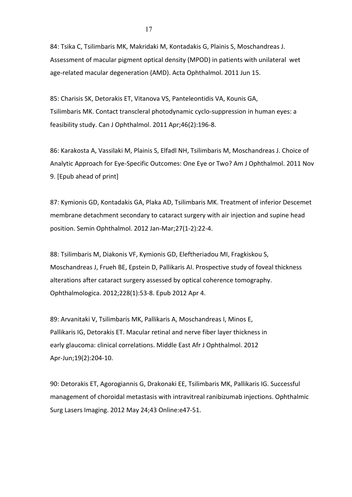84: Tsika C, Tsilimbaris MK, Makridaki M, Kontadakis G, Plainis S, Moschandreas J. Assessment of macular pigment optical density (MPOD) in patients with unilateral wet age-related macular degeneration (AMD). Acta Ophthalmol. 2011 Jun 15.

85: Charisis SK, Detorakis ET, Vitanova VS, Panteleontidis VA, Kounis GA, Tsilimbaris MK. Contact transcleral photodynamic cyclo-suppression in human eyes: a feasibility study. Can J Ophthalmol. 2011 Apr;46(2):196-8.

86: Karakosta A, Vassilaki M, Plainis S, Elfadl NH, Tsilimbaris M, Moschandreas J. Choice of Analytic Approach for Eye-Specific Outcomes: One Eye or Two? Am J Ophthalmol. 2011 Nov 9. [Epub ahead of print]

87: Kymionis GD, Kontadakis GA, Plaka AD, Tsilimbaris MK. Treatment of inferior Descemet membrane detachment secondary to cataract surgery with air injection and supine head position. Semin Ophthalmol. 2012 Jan-Mar;27(1-2):22-4.

88: Tsilimbaris M, Diakonis VF, Kymionis GD, Eleftheriadou MI, Fragkiskou S, Moschandreas J, Frueh BE, Epstein D, Pallikaris AI. Prospective study of foveal thickness alterations after cataract surgery assessed by optical coherence tomography. Ophthalmologica. 2012;228(1):53-8. Epub 2012 Apr 4.

89: Arvanitaki V, Tsilimbaris MK, Pallikaris A, Moschandreas I, Minos E, Pallikaris IG, Detorakis ET. Macular retinal and nerve fiber layer thickness in early glaucoma: clinical correlations. Middle East Afr J Ophthalmol. 2012 Apr-Jun;19(2):204-10.

90: Detorakis ET, Agorogiannis G, Drakonaki EE, Tsilimbaris MK, Pallikaris IG. Successful management of choroidal metastasis with intravitreal ranibizumab injections. Ophthalmic Surg Lasers Imaging. 2012 May 24;43 Online:e47-51.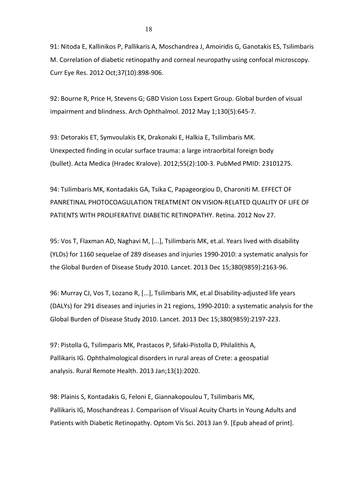91: Nitoda E, Kallinikos P, Pallikaris A, Moschandrea J, Amoiridis G, Ganotakis ES, Tsilimbaris M. Correlation of diabetic retinopathy and corneal neuropathy using confocal microscopy. Curr Eye Res. 2012 Oct;37(10):898-906.

92: Bourne R, Price H, Stevens G; GBD Vision Loss Expert Group. Global burden of visual impairment and blindness. Arch Ophthalmol. 2012 May 1;130(5):645-7.

93: Detorakis ET, Symvoulakis EK, Drakonaki E, Halkia E, Tsilimbaris MK. Unexpected finding in ocular surface trauma: a large intraorbital foreign body (bullet). Acta Medica (Hradec Kralove). 2012;55(2):100-3. PubMed PMID: 23101275.

94: Tsilimbaris MK, Kontadakis GA, Tsika C, Papageorgiou D, Charoniti M. EFFECT OF PANRETINAL PHOTOCOAGULATION TREATMENT ON VISION-RELATED QUALITY OF LIFE OF PATIENTS WITH PROLIFERATIVE DIABETIC RETINOPATHY. Retina. 2012 Nov 27.

95: Vos T, Flaxman AD, Naghavi M, [...], Tsilimbaris MK, et.al. Years lived with disability (YLDs) for 1160 sequelae of 289 diseases and injuries 1990-2010: a systematic analysis for the Global Burden of Disease Study 2010. Lancet. 2013 Dec 15;380(9859):2163-96.

96: Murray CJ, Vos T, Lozano R, [...], Tsilimbaris MK, et.al Disability-adjusted life years (DALYs) for 291 diseases and injuries in 21 regions, 1990-2010: a systematic analysis for the Global Burden of Disease Study 2010. Lancet. 2013 Dec 15;380(9859):2197-223.

97: Pistolla G, Tsilimparis MK, Prastacos P, Sifaki-Pistolla D, Philalithis A, Pallikaris IG. Ophthalmological disorders in rural areas of Crete: a geospatial analysis. Rural Remote Health. 2013 Jan;13(1):2020.

98: Plainis S, Kontadakis G, Feloni E, Giannakopoulou T, Tsilimbaris MK, Pallikaris IG, Moschandreas J. Comparison of Visual Acuity Charts in Young Adults and Patients with Diabetic Retinopathy. Optom Vis Sci. 2013 Jan 9. [Epub ahead of print].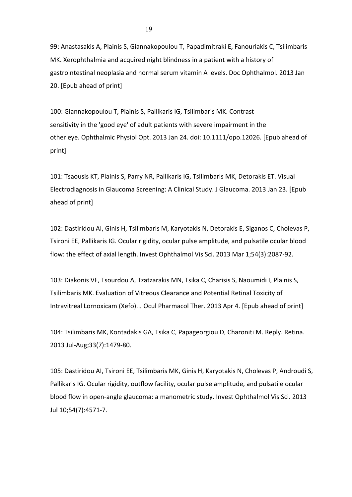99: Anastasakis A, Plainis S, Giannakopoulou T, Papadimitraki E, Fanouriakis C, Tsilimbaris MK. Xerophthalmia and acquired night blindness in a patient with a history of gastrointestinal neoplasia and normal serum vitamin A levels. Doc Ophthalmol. 2013 Jan 20. [Epub ahead of print]

100: Giannakopoulou T, Plainis S, Pallikaris IG, Tsilimbaris MK. Contrast sensitivity in the 'good eye' of adult patients with severe impairment in the other eye. Ophthalmic Physiol Opt. 2013 Jan 24. doi: 10.1111/opo.12026. [Epub ahead of print]

101: Tsaousis KT, Plainis S, Parry NR, Pallikaris IG, Tsilimbaris MK, Detorakis ET. Visual Electrodiagnosis in Glaucoma Screening: A Clinical Study. J Glaucoma. 2013 Jan 23. [Epub ahead of print]

102: Dastiridou AI, Ginis H, Tsilimbaris M, Karyotakis N, Detorakis E, Siganos C, Cholevas P, Tsironi EE, Pallikaris IG. Ocular rigidity, ocular pulse amplitude, and pulsatile ocular blood flow: the effect of axial length. Invest Ophthalmol Vis Sci. 2013 Mar 1;54(3):2087-92.

103: Diakonis VF, Tsourdou A, Tzatzarakis MN, Tsika C, Charisis S, Naoumidi I, Plainis S, Tsilimbaris MK. Evaluation of Vitreous Clearance and Potential Retinal Toxicity of Intravitreal Lornoxicam (Xefo). J Ocul Pharmacol Ther. 2013 Apr 4. [Epub ahead of print]

104: Tsilimbaris MK, Kontadakis GA, Tsika C, Papageorgiou D, Charoniti M. Reply. Retina. 2013 Jul-Aug;33(7):1479-80. 

105: Dastiridou AI, Tsironi EE, Tsilimbaris MK, Ginis H, Karyotakis N, Cholevas P, Androudi S, Pallikaris IG. Ocular rigidity, outflow facility, ocular pulse amplitude, and pulsatile ocular blood flow in open-angle glaucoma: a manometric study. Invest Ophthalmol Vis Sci. 2013 Jul 10;54(7):4571-7.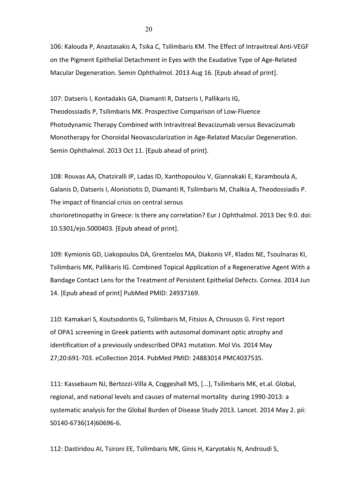106: Kalouda P, Anastasakis A, Tsika C, Tsilimbaris KM. The Effect of Intravitreal Anti-VEGF on the Pigment Epithelial Detachment in Eyes with the Exudative Type of Age-Related Macular Degeneration. Semin Ophthalmol. 2013 Aug 16. [Epub ahead of print].

107: Datseris I, Kontadakis GA, Diamanti R, Datseris I, Pallikaris IG, Theodossiadis P, Tsilimbaris MK. Prospective Comparison of Low-Fluence Photodynamic Therapy Combined with Intravitreal Bevacizumab versus Bevacizumab Monotherapy for Choroidal Neovascularization in Age-Related Macular Degeneration. Semin Ophthalmol. 2013 Oct 11. [Epub ahead of print].

108: Rouvas AA, Chatziralli IP, Ladas ID, Xanthopoulou V, Giannakaki E, Karamboula A, Galanis D, Datseris I, Alonistiotis D, Diamanti R, Tsilimbaris M, Chalkia A, Theodossiadis P. The impact of financial crisis on central serous chorioretinopathy in Greece: Is there any correlation? Eur J Ophthalmol. 2013 Dec 9:0. doi: 10.5301/ejo.5000403. [Epub ahead of print].

109: Kymionis GD, Liakopoulos DA, Grentzelos MA, Diakonis VF, Klados NE, Tsoulnaras KI, Tsilimbaris MK, Pallikaris IG. Combined Topical Application of a Regenerative Agent With a Bandage Contact Lens for the Treatment of Persistent Epithelial Defects. Cornea. 2014 Jun 14. [Epub ahead of print] PubMed PMID: 24937169.

110: Kamakari S, Koutsodontis G, Tsilimbaris M, Fitsios A, Chrousos G. First report of OPA1 screening in Greek patients with autosomal dominant optic atrophy and identification of a previously undescribed OPA1 mutation. Mol Vis. 2014 May 27;20:691-703. eCollection 2014. PubMed PMID: 24883014 PMC4037535.

111: Kassebaum NJ, Bertozzi-Villa A, Coggeshall MS, [...], Tsilimbaris MK, et.al. Global, regional, and national levels and causes of maternal mortality during 1990-2013: a systematic analysis for the Global Burden of Disease Study 2013. Lancet. 2014 May 2. pii: S0140-6736(14)60696-6. 

112: Dastiridou AI, Tsironi EE, Tsilimbaris MK, Ginis H, Karyotakis N, Androudi S,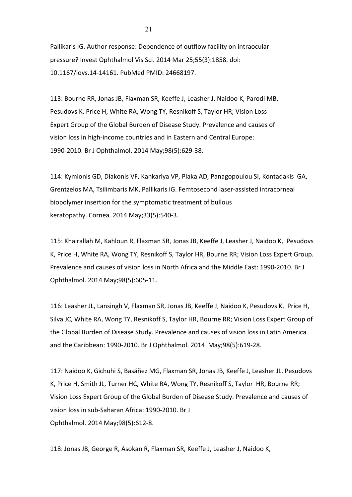Pallikaris IG. Author response: Dependence of outflow facility on intraocular pressure? Invest Ophthalmol Vis Sci. 2014 Mar 25;55(3):1858. doi: 10.1167/iovs.14-14161. PubMed PMID: 24668197.

113: Bourne RR, Jonas JB, Flaxman SR, Keeffe J, Leasher J, Naidoo K, Parodi MB, Pesudovs K, Price H, White RA, Wong TY, Resnikoff S, Taylor HR; Vision Loss Expert Group of the Global Burden of Disease Study. Prevalence and causes of vision loss in high-income countries and in Eastern and Central Europe: 1990-2010. Br J Ophthalmol. 2014 May;98(5):629-38. 

114: Kymionis GD, Diakonis VF, Kankariya VP, Plaka AD, Panagopoulou SI, Kontadakis GA, Grentzelos MA, Tsilimbaris MK, Pallikaris IG. Femtosecond laser-assisted intracorneal biopolymer insertion for the symptomatic treatment of bullous keratopathy. Cornea. 2014 May;33(5):540-3. 

115: Khairallah M, Kahloun R, Flaxman SR, Jonas JB, Keeffe J, Leasher J, Naidoo K, Pesudovs K, Price H, White RA, Wong TY, Resnikoff S, Taylor HR, Bourne RR; Vision Loss Expert Group. Prevalence and causes of vision loss in North Africa and the Middle East: 1990-2010. Br J Ophthalmol. 2014 May;98(5):605-11. 

116: Leasher JL, Lansingh V, Flaxman SR, Jonas JB, Keeffe J, Naidoo K, Pesudovs K, Price H, Silva JC, White RA, Wong TY, Resnikoff S, Taylor HR, Bourne RR; Vision Loss Expert Group of the Global Burden of Disease Study. Prevalence and causes of vision loss in Latin America and the Caribbean: 1990-2010. Br J Ophthalmol. 2014 May;98(5):619-28.

117: Naidoo K, Gichuhi S, Basáñez MG, Flaxman SR, Jonas JB, Keeffe J, Leasher JL, Pesudovs K, Price H, Smith JL, Turner HC, White RA, Wong TY, Resnikoff S, Taylor HR, Bourne RR; Vision Loss Expert Group of the Global Burden of Disease Study. Prevalence and causes of vision loss in sub-Saharan Africa: 1990-2010. Br J Ophthalmol. 2014 May;98(5):612-8. 

118: Jonas JB, George R, Asokan R, Flaxman SR, Keeffe J, Leasher J, Naidoo K,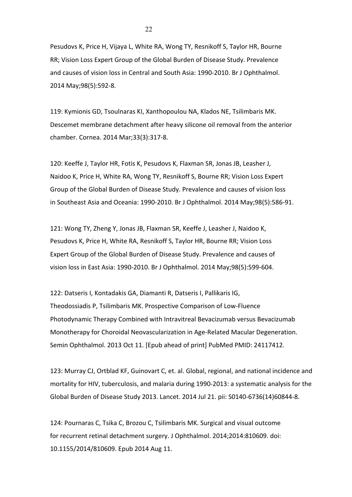Pesudovs K, Price H, Vijaya L, White RA, Wong TY, Resnikoff S, Taylor HR, Bourne RR; Vision Loss Expert Group of the Global Burden of Disease Study. Prevalence and causes of vision loss in Central and South Asia: 1990-2010. Br J Ophthalmol. 2014 May;98(5):592-8.

119: Kymionis GD, Tsoulnaras KI, Xanthopoulou NA, Klados NE, Tsilimbaris MK. Descemet membrane detachment after heavy silicone oil removal from the anterior chamber. Cornea. 2014 Mar;33(3):317-8. 

120: Keeffe J, Taylor HR, Fotis K, Pesudovs K, Flaxman SR, Jonas JB, Leasher J, Naidoo K, Price H, White RA, Wong TY, Resnikoff S, Bourne RR; Vision Loss Expert Group of the Global Burden of Disease Study. Prevalence and causes of vision loss in Southeast Asia and Oceania: 1990-2010. Br J Ophthalmol. 2014 May;98(5):586-91.

121: Wong TY, Zheng Y, Jonas JB, Flaxman SR, Keeffe J, Leasher J, Naidoo K, Pesudovs K, Price H, White RA, Resnikoff S, Taylor HR, Bourne RR; Vision Loss Expert Group of the Global Burden of Disease Study. Prevalence and causes of vision loss in East Asia: 1990-2010. Br J Ophthalmol. 2014 May;98(5):599-604.

122: Datseris I, Kontadakis GA, Diamanti R, Datseris I, Pallikaris IG, Theodossiadis P, Tsilimbaris MK. Prospective Comparison of Low-Fluence Photodynamic Therapy Combined with Intravitreal Bevacizumab versus Bevacizumab Monotherapy for Choroidal Neovascularization in Age-Related Macular Degeneration. Semin Ophthalmol. 2013 Oct 11. [Epub ahead of print] PubMed PMID: 24117412.

123: Murray CJ, Ortblad KF, Guinovart C, et. al. Global, regional, and national incidence and mortality for HIV, tuberculosis, and malaria during 1990-2013: a systematic analysis for the Global Burden of Disease Study 2013. Lancet. 2014 Jul 21. pii: S0140-6736(14)60844-8.

124: Pournaras C, Tsika C, Brozou C, Tsilimbaris MK. Surgical and visual outcome for recurrent retinal detachment surgery. J Ophthalmol. 2014;2014:810609. doi: 10.1155/2014/810609. Epub 2014 Aug 11.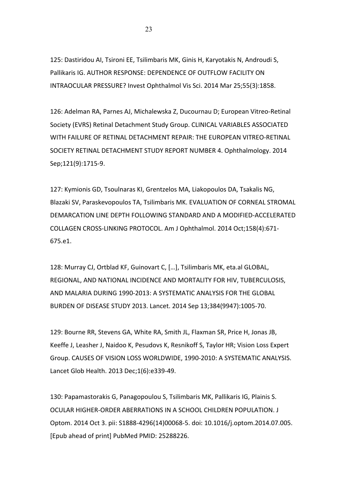125: Dastiridou AI, Tsironi EE, Tsilimbaris MK, Ginis H, Karyotakis N, Androudi S, Pallikaris IG. AUTHOR RESPONSE: DEPENDENCE OF OUTFLOW FACILITY ON INTRAOCULAR PRESSURE? Invest Ophthalmol Vis Sci. 2014 Mar 25;55(3):1858.

126: Adelman RA, Parnes AJ, Michalewska Z, Ducournau D; European Vitreo-Retinal Society (EVRS) Retinal Detachment Study Group. CLINICAL VARIABLES ASSOCIATED WITH FAILURE OF RETINAL DETACHMENT REPAIR: THE EUROPEAN VITREO-RETINAL SOCIETY RETINAL DETACHMENT STUDY REPORT NUMBER 4. Ophthalmology. 2014 Sep;121(9):1715-9.

127: Kymionis GD, Tsoulnaras KI, Grentzelos MA, Liakopoulos DA, Tsakalis NG, Blazaki SV, Paraskevopoulos TA, Tsilimbaris MK. EVALUATION OF CORNEAL STROMAL DEMARCATION LINE DEPTH FOLLOWING STANDARD AND A MODIFIED-ACCELERATED COLLAGEN CROSS-LINKING PROTOCOL. Am J Ophthalmol. 2014 Oct;158(4):671-675.e1.

128: Murray CJ, Ortblad KF, Guinovart C, [...], Tsilimbaris MK, eta.al GLOBAL, REGIONAL, AND NATIONAL INCIDENCE AND MORTALITY FOR HIV, TUBERCULOSIS, AND MALARIA DURING 1990-2013: A SYSTEMATIC ANALYSIS FOR THE GLOBAL BURDEN OF DISEASE STUDY 2013. Lancet. 2014 Sep 13;384(9947):1005-70.

129: Bourne RR, Stevens GA, White RA, Smith JL, Flaxman SR, Price H, Jonas JB, Keeffe J, Leasher J, Naidoo K, Pesudovs K, Resnikoff S, Taylor HR; Vision Loss Expert Group. CAUSES OF VISION LOSS WORLDWIDE, 1990-2010: A SYSTEMATIC ANALYSIS. Lancet Glob Health. 2013 Dec;1(6):e339-49.

130: Papamastorakis G, Panagopoulou S, Tsilimbaris MK, Pallikaris IG, Plainis S. OCULAR HIGHER-ORDER ABERRATIONS IN A SCHOOL CHILDREN POPULATION. J Optom. 2014 Oct 3. pii: S1888-4296(14)00068-5. doi: 10.1016/j.optom.2014.07.005. [Epub ahead of print] PubMed PMID: 25288226.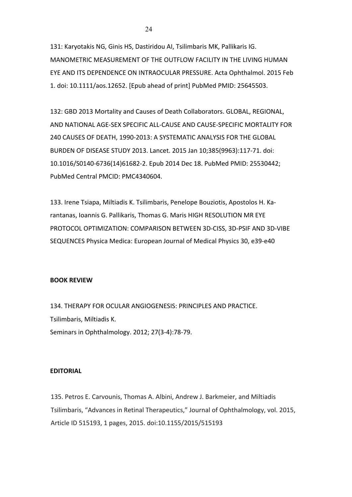131: Karyotakis NG, Ginis HS, Dastiridou AI, Tsilimbaris MK, Pallikaris IG. MANOMETRIC MEASUREMENT OF THE OUTFLOW FACILITY IN THE LIVING HUMAN EYE AND ITS DEPENDENCE ON INTRAOCULAR PRESSURE. Acta Ophthalmol. 2015 Feb 1. doi: 10.1111/aos.12652. [Epub ahead of print] PubMed PMID: 25645503.

132: GBD 2013 Mortality and Causes of Death Collaborators. GLOBAL, REGIONAL, AND NATIONAL AGE-SEX SPECIFIC ALL-CAUSE AND CAUSE-SPECIFIC MORTALITY FOR 240 CAUSES OF DEATH, 1990-2013: A SYSTEMATIC ANALYSIS FOR THE GLOBAL BURDEN OF DISEASE STUDY 2013. Lancet. 2015 Jan 10;385(9963):117-71. doi: 10.1016/S0140-6736(14)61682-2. Epub 2014 Dec 18. PubMed PMID: 25530442; PubMed Central PMCID: PMC4340604.

133. Irene Tsiapa, Miltiadis K. Tsilimbaris, Penelope Bouziotis, Apostolos H. Karantanas, Ioannis G. Pallikaris, Thomas G. Maris HIGH RESOLUTION MR EYE PROTOCOL OPTIMIZATION: COMPARISON BETWEEN 3D-CISS, 3D-PSIF AND 3D-VIBE SEQUENCES Physica Medica: European Journal of Medical Physics 30, e39-e40

#### **BOOK REVIEW**

134. THERAPY FOR OCULAR ANGIOGENESIS: PRINCIPLES AND PRACTICE. Tsilimbaris, Miltiadis K. Seminars in Ophthalmology. 2012; 27(3-4):78-79.

#### **EDITORIAL**

135. Petros E. Carvounis, Thomas A. Albini, Andrew J. Barkmeier, and Miltiadis Tsilimbaris, "Advances in Retinal Therapeutics," Journal of Ophthalmology, vol. 2015, Article ID 515193, 1 pages, 2015. doi:10.1155/2015/515193